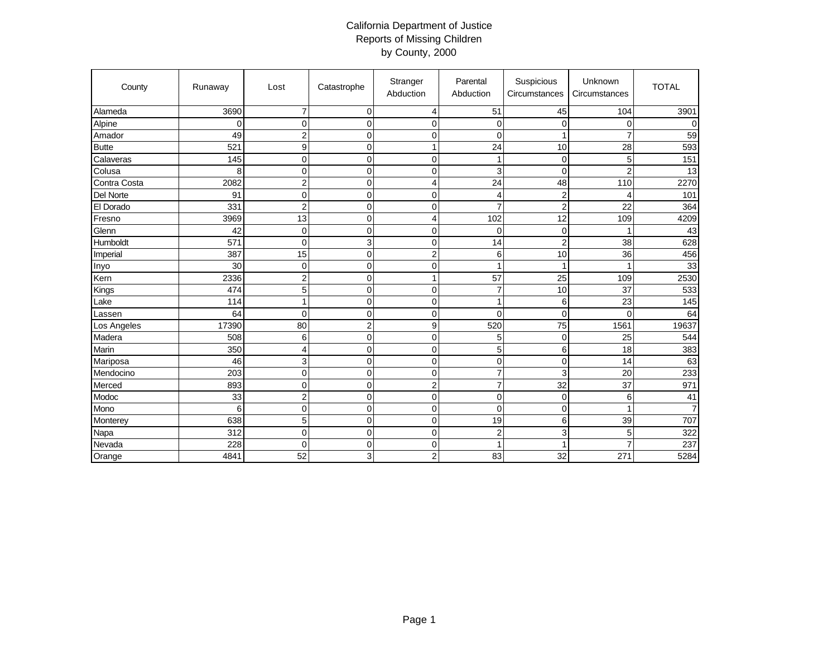## California Department of Justice Reports of Missing Children by County, 2000

| County       | Runaway | Lost             | Catastrophe      | Stranger<br>Abduction | Parental<br>Abduction | Suspicious<br>Circumstances | Unknown<br>Circumstances | <b>TOTAL</b>   |
|--------------|---------|------------------|------------------|-----------------------|-----------------------|-----------------------------|--------------------------|----------------|
| Alameda      | 3690    | $\overline{7}$   | $\mathbf 0$      | $\overline{4}$        | 51                    | 45                          | 104                      | 3901           |
| Alpine       | 0       | 0                | $\mathbf 0$      | $\mathbf 0$           | $\mathbf 0$           | $\mathbf 0$                 | 0                        | $\Omega$       |
| Amador       | 49      | $\overline{2}$   | $\mathbf 0$      | $\mathbf 0$           | $\mathbf 0$           | 1                           | $\overline{7}$           | 59             |
| <b>Butte</b> | 521     | $\boldsymbol{9}$ | $\mathbf 0$      | $\mathbf{1}$          | 24                    | 10                          | 28                       | 593            |
| Calaveras    | 145     | $\mathbf 0$      | $\mathbf 0$      | $\mathbf 0$           | 1                     | $\mathbf 0$                 | 5                        | 151            |
| Colusa       | 8       | 0                | $\mathbf 0$      | $\mathbf 0$           | 3                     | $\mathbf 0$                 | $\overline{c}$           | 13             |
| Contra Costa | 2082    | $\overline{c}$   | $\mathbf 0$      | 4                     | 24                    | 48                          | 110                      | 2270           |
| Del Norte    | 91      | $\overline{0}$   | $\mathbf 0$      | $\mathbf 0$           | $\overline{4}$        | $\overline{c}$              | 4                        | 101            |
| El Dorado    | 331     | $\overline{c}$   | $\mathbf 0$      | $\mathbf 0$           | $\overline{7}$        | $\overline{c}$              | 22                       | 364            |
| Fresno       | 3969    | 13               | $\mathbf 0$      | $\overline{4}$        | 102                   | 12                          | 109                      | 4209           |
| Glenn        | 42      | $\mathbf 0$      | $\mathbf 0$      | $\mathbf 0$           | $\mathbf 0$           | $\mathbf 0$                 | 1                        | 43             |
| Humboldt     | 571     | $\overline{0}$   | 3                | $\pmb{0}$             | 14                    | $\overline{c}$              | 38                       | 628            |
| Imperial     | 387     | 15               | $\mathbf 0$      | $\overline{c}$        | 6                     | 10                          | 36                       | 456            |
| Inyo         | 30      | $\mathbf 0$      | $\mathbf 0$      | $\mathbf 0$           | $\overline{1}$        | 1                           | 1                        | 33             |
| Kern         | 2336    | $\overline{2}$   | $\mathbf 0$      | 1                     | 57                    | 25                          | 109                      | 2530           |
| Kings        | 474     | 5                | $\mathbf 0$      | $\mathbf 0$           | $\overline{7}$        | 10                          | 37                       | 533            |
| Lake         | 114     | $\mathbf{1}$     | $\mathbf 0$      | $\mathbf 0$           | $\mathbf{1}$          | 6                           | 23                       | 145            |
| Lassen       | 64      | 0                | $\mathbf 0$      | $\boldsymbol{0}$      | 0                     | $\overline{0}$              | $\Omega$                 | 64             |
| Los Angeles  | 17390   | 80               | $\overline{c}$   | $\boldsymbol{9}$      | 520                   | 75                          | 1561                     | 19637          |
| Madera       | 508     | 6                | $\mathbf 0$      | $\pmb{0}$             | 5                     | $\mathbf 0$                 | 25                       | 544            |
| Marin        | 350     | 4                | $\mathbf 0$      | $\boldsymbol{0}$      | $\overline{5}$        | 6                           | 18                       | 383            |
| Mariposa     | 46      | 3                | $\mathbf 0$      | $\mathbf 0$           | $\overline{0}$        | $\mathbf 0$                 | 14                       | 63             |
| Mendocino    | 203     | $\mathbf 0$      | $\mathbf 0$      | $\mathbf 0$           | $\overline{7}$        | 3                           | 20                       | 233            |
| Merced       | 893     | $\overline{0}$   | $\mathbf 0$      | $\overline{c}$        | $\overline{7}$        | 32                          | 37                       | 971            |
| Modoc        | 33      | $\overline{2}$   | $\boldsymbol{0}$ | $\mathbf 0$           | $\mathbf 0$           | $\overline{0}$              | 6                        | 41             |
| Mono         | 6       | $\mathbf 0$      | $\mathbf 0$      | $\mathbf 0$           | $\Omega$              | $\mathbf 0$                 | 1                        | $\overline{7}$ |
| Monterey     | 638     | 5                | $\boldsymbol{0}$ | $\pmb{0}$             | 19                    | 6                           | 39                       | 707            |
| Napa         | 312     | $\mathbf 0$      | $\mathbf 0$      | $\pmb{0}$             | $\overline{c}$        | 3                           | 5                        | 322            |
| Nevada       | 228     | 0                | $\mathbf 0$      | $\mathbf 0$           | $\overline{1}$        | 1                           | $\overline{7}$           | 237            |
| Orange       | 4841    | 52               | 3                | $\overline{2}$        | 83                    | 32                          | 271                      | 5284           |